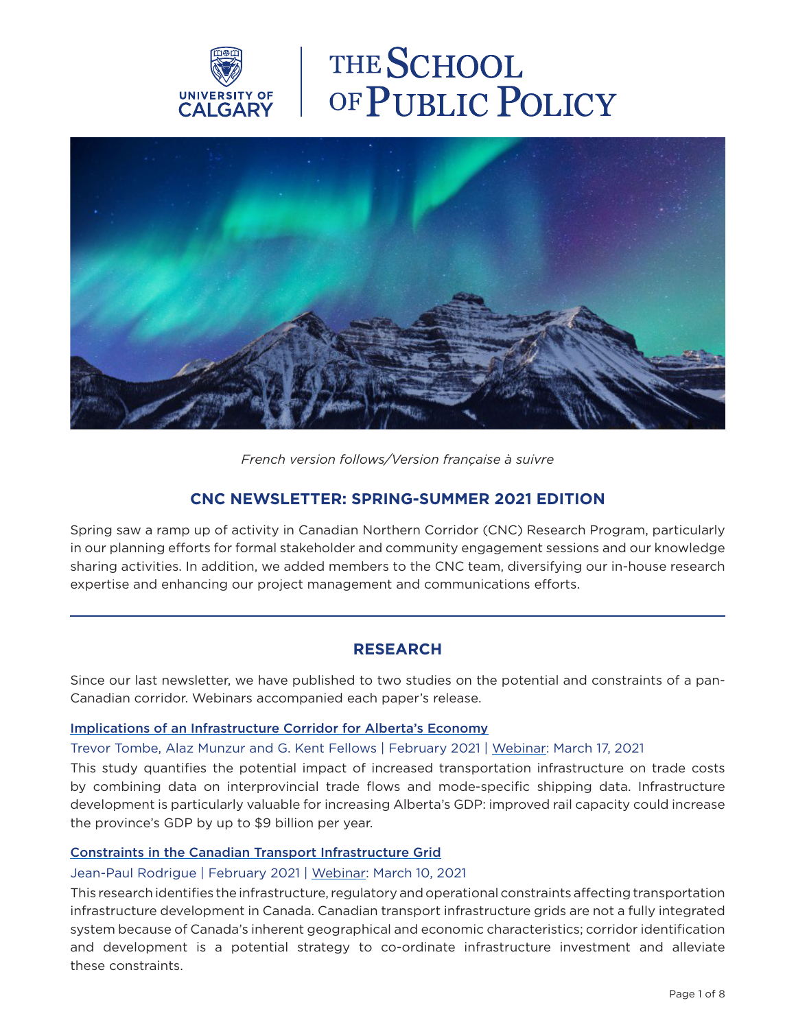

# THE SCHOOL OF PUBLIC POLICY



## *French version follows/Version française à suivre*

# **CNC NEWSLETTER: SPRING-SUMMER 2021 EDITION**

Spring saw a ramp up of activity in Canadian Northern Corridor (CNC) Research Program, particularly in our planning efforts for formal stakeholder and community engagement sessions and our knowledge sharing activities. In addition, we added members to the CNC team, diversifying our in-house research expertise and enhancing our project management and communications efforts.

# **RESEARCH**

Since our last newsletter, we have published to two studies on the potential and constraints of a pan-Canadian corridor. Webinars accompanied each paper's release.

## [Implications of an Infrastructure Corridor for Alberta's Economy](https://www.policyschool.ca/wp-content/uploads/2021/02/Infrastructure-Corridor-Tombe-Munzur-Fellows.pdf)

#### Trevor Tombe, Alaz Munzur and G. Kent Fellows | February 2021 | [Webinar](https://www.canadiancorridor.ca/the-research-program/events-and-webinars/): March 17, 2021

This study quantifies the potential impact of increased transportation infrastructure on trade costs by combining data on interprovincial trade flows and mode-specific shipping data. Infrastructure development is particularly valuable for increasing Alberta's GDP: improved rail capacity could increase the province's GDP by up to \$9 billion per year.

#### [Constraints in the Canadian Transport Infrastructure Grid](https://www.policyschool.ca/wp-content/uploads/2021/02/Infrastructure-Grid-Rodrigue.pdf)

#### Jean-Paul Rodrigue | February 2021 | [Webinar](https://www.canadiancorridor.ca/the-research-program/events-and-webinars/): March 10, 2021

This research identifies the infrastructure, regulatory and operational constraints affecting transportation infrastructure development in Canada. Canadian transport infrastructure grids are not a fully integrated system because of Canada's inherent geographical and economic characteristics; corridor identification and development is a potential strategy to co-ordinate infrastructure investment and alleviate these constraints.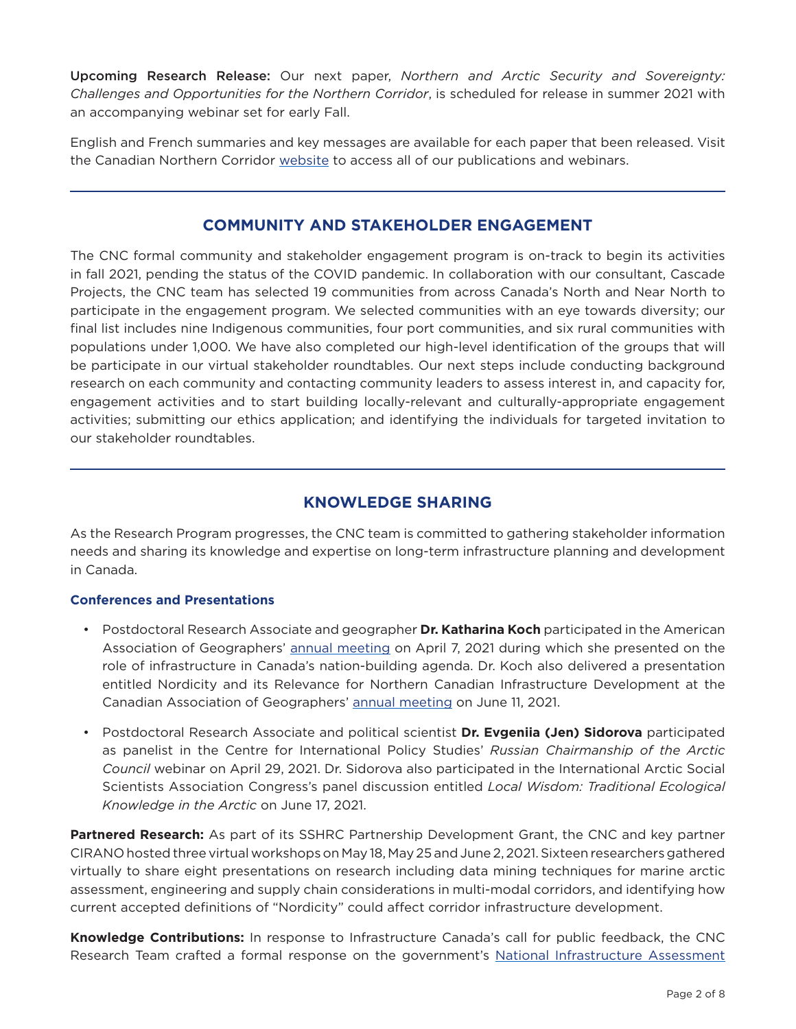Upcoming Research Release: Our next paper, *Northern and Arctic Security and Sovereignty: Challenges and Opportunities for the Northern Corridor*, is scheduled for release in summer 2021 with an accompanying webinar set for early Fall.

English and French summaries and key messages are available for each paper that been released. Visit the Canadian Northern Corridor [website](https://www.canadiancorridor.ca/the-research-program/events-and-webinars/) to access all of our publications and webinars.

# **COMMUNITY AND STAKEHOLDER ENGAGEMENT**

The CNC formal community and stakeholder engagement program is on-track to begin its activities in fall 2021, pending the status of the COVID pandemic. In collaboration with our consultant, Cascade Projects, the CNC team has selected 19 communities from across Canada's North and Near North to participate in the engagement program. We selected communities with an eye towards diversity; our final list includes nine Indigenous communities, four port communities, and six rural communities with populations under 1,000. We have also completed our high-level identification of the groups that will be participate in our virtual stakeholder roundtables. Our next steps include conducting background research on each community and contacting community leaders to assess interest in, and capacity for, engagement activities and to start building locally-relevant and culturally-appropriate engagement activities; submitting our ethics application; and identifying the individuals for targeted invitation to our stakeholder roundtables.

# **KNOWLEDGE SHARING**

As the Research Program progresses, the CNC team is committed to gathering stakeholder information needs and sharing its knowledge and expertise on long-term infrastructure planning and development in Canada.

## **Conferences and Presentations**

- Postdoctoral Research Associate and geographer **Dr. Katharina Koch** participated in the American Association of Geographers' [annual meeting](https://aag-annualmeeting.secure-platform.com/a/) on April 7, 2021 during which she presented on the role of infrastructure in Canada's nation-building agenda. Dr. Koch also delivered a presentation entitled Nordicity and its Relevance for Northern Canadian Infrastructure Development at the Canadian Association of Geographers' [annual meeting](https://www.cag-acg.ca/cag2021) on June 11, 2021.
- Postdoctoral Research Associate and political scientist **Dr. Evgeniia (Jen) Sidorova** participated as panelist in the Centre for International Policy Studies' *Russian Chairmanship of the Arctic Council* webinar on April 29, 2021. Dr. Sidorova also participated in the International Arctic Social Scientists Association Congress's panel discussion entitled *Local Wisdom: Traditional Ecological Knowledge in the Arctic* on June 17, 2021.

**Partnered Research:** As part of its SSHRC Partnership Development Grant, the CNC and key partner CIRANO hosted three virtual workshops on May 18, May 25 and June 2, 2021. Sixteen researchers gathered virtually to share eight presentations on research including data mining techniques for marine arctic assessment, engineering and supply chain considerations in multi-modal corridors, and identifying how current accepted definitions of "Nordicity" could affect corridor infrastructure development.

**Knowledge Contributions:** In response to Infrastructure Canada's call for public feedback, the CNC Research Team crafted a formal response on the government's <u>National Infrastructure Assessment</u>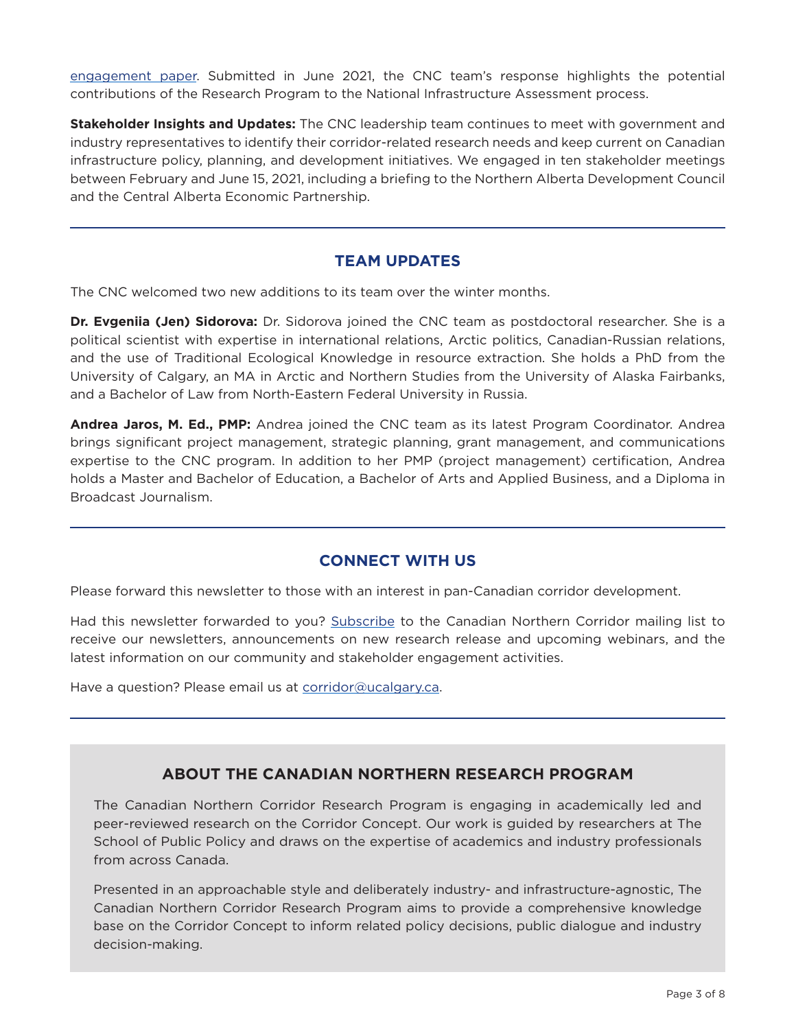[engagement paper](https://www.infrastructure.gc.ca/nia-eni/index-eng.html). Submitted in June 2021, the CNC team's response highlights the potential contributions of the Research Program to the National Infrastructure Assessment process.

**Stakeholder Insights and Updates:** The CNC leadership team continues to meet with government and industry representatives to identify their corridor-related research needs and keep current on Canadian infrastructure policy, planning, and development initiatives. We engaged in ten stakeholder meetings between February and June 15, 2021, including a briefing to the Northern Alberta Development Council and the Central Alberta Economic Partnership.

# **TEAM UPDATES**

The CNC welcomed two new additions to its team over the winter months.

**Dr. Evgeniia (Jen) Sidorova:** Dr. Sidorova joined the CNC team as postdoctoral researcher. She is a political scientist with expertise in international relations, Arctic politics, Canadian-Russian relations, and the use of Traditional Ecological Knowledge in resource extraction. She holds a PhD from the University of Calgary, an MA in Arctic and Northern Studies from the University of Alaska Fairbanks, and a Bachelor of Law from North-Eastern Federal University in Russia.

**Andrea Jaros, M. Ed., PMP:** Andrea joined the CNC team as its latest Program Coordinator. Andrea brings significant project management, strategic planning, grant management, and communications expertise to the CNC program. In addition to her PMP (project management) certification, Andrea holds a Master and Bachelor of Education, a Bachelor of Arts and Applied Business, and a Diploma in Broadcast Journalism.

# **CONNECT WITH US**

Please forward this newsletter to those with an interest in pan-Canadian corridor development.

Had this newsletter forwarded to you? [Subscribe](https://go.ucalgary.ca/spp-subscribe.html) to the Canadian Northern Corridor mailing list to receive our newsletters, announcements on new research release and upcoming webinars, and the latest information on our community and stakeholder engagement activities.

Have a question? Please email us at [corridor@ucalgary.ca](mailto:corridor%40ucalgary.ca?subject=).

# **ABOUT THE CANADIAN NORTHERN RESEARCH PROGRAM**

The Canadian Northern Corridor Research Program is engaging in academically led and peer-reviewed research on the Corridor Concept. Our work is guided by researchers at The School of Public Policy and draws on the expertise of academics and industry professionals from across Canada.

Presented in an approachable style and deliberately industry- and infrastructure-agnostic, The Canadian Northern Corridor Research Program aims to provide a comprehensive knowledge base on the Corridor Concept to inform related policy decisions, public dialogue and industry decision-making.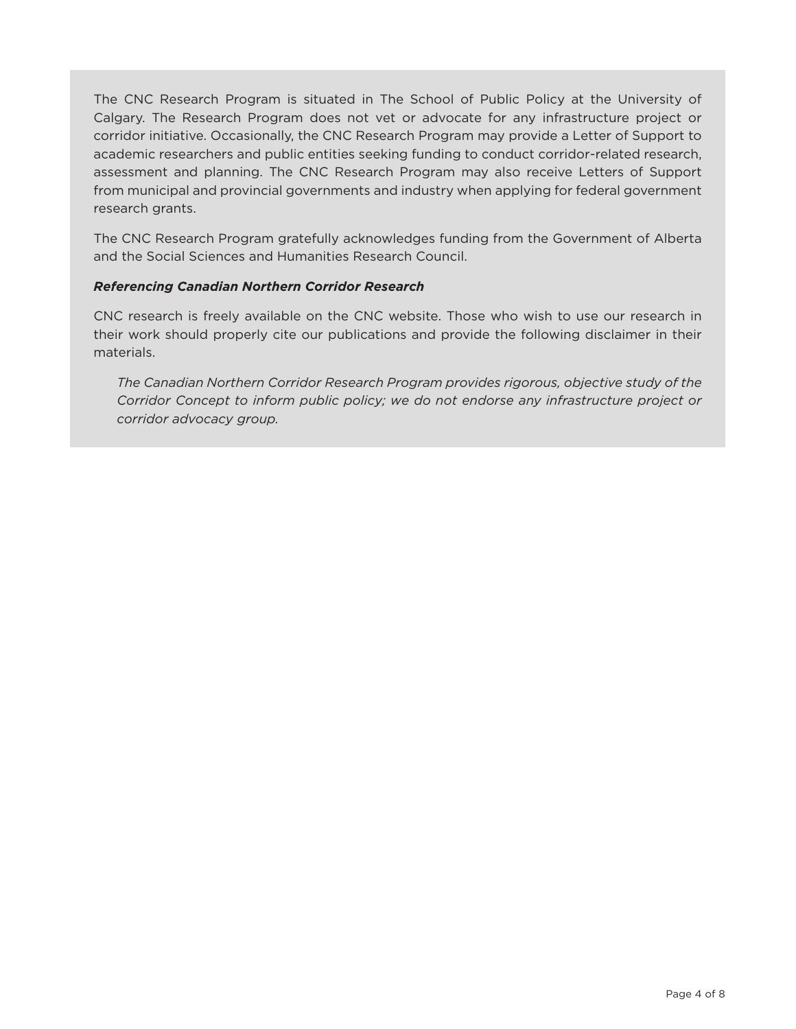The CNC Research Program is situated in The School of Public Policy at the University of Calgary. The Research Program does not vet or advocate for any infrastructure project or corridor initiative. Occasionally, the CNC Research Program may provide a Letter of Support to academic researchers and public entities seeking funding to conduct corridor-related research, assessment and planning. The CNC Research Program may also receive Letters of Support from municipal and provincial governments and industry when applying for federal government research grants.

The CNC Research Program gratefully acknowledges funding from the Government of Alberta and the Social Sciences and Humanities Research Council.

## *Referencing Canadian Northern Corridor Research*

CNC research is freely available on the CNC website. Those who wish to use our research in their work should properly cite our publications and provide the following disclaimer in their materials.

*The Canadian Northern Corridor Research Program provides rigorous, objective study of the Corridor Concept to inform public policy; we do not endorse any infrastructure project or corridor advocacy group.*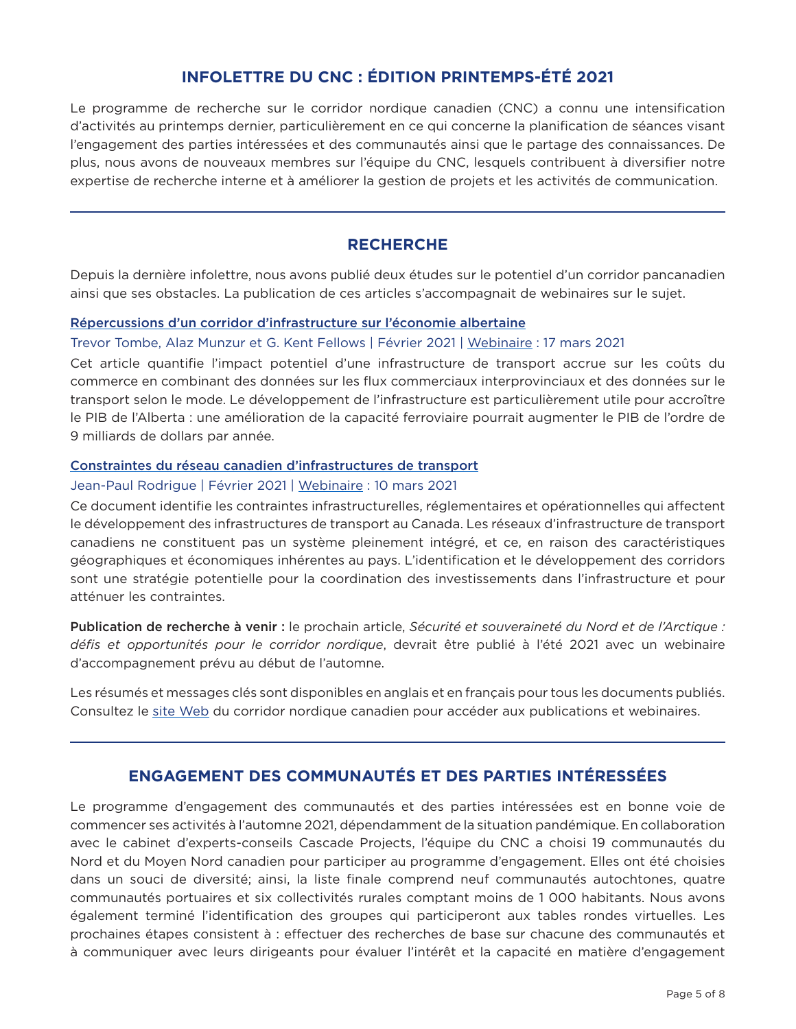# **INFOLETTRE DU CNC : ÉDITION PRINTEMPS-ÉTÉ 2021**

Le programme de recherche sur le corridor nordique canadien (CNC) a connu une intensification d'activités au printemps dernier, particulièrement en ce qui concerne la planification de séances visant l'engagement des parties intéressées et des communautés ainsi que le partage des connaissances. De plus, nous avons de nouveaux membres sur l'équipe du CNC, lesquels contribuent à diversifier notre expertise de recherche interne et à améliorer la gestion de projets et les activités de communication.

## **RECHERCHE**

Depuis la dernière infolettre, nous avons publié deux études sur le potentiel d'un corridor pancanadien ainsi que ses obstacles. La publication de ces articles s'accompagnait de webinaires sur le sujet.

## [Répercussions d'un corridor d'infrastructure sur l'économie albertaine](https://www.policyschool.ca/wp-content/uploads/2021/02/Infrastructure-Corridor-Tombe-Munzur-Fellows.pdf)

## Trevor Tombe, Alaz Munzur et G. Kent Fellows | Février 2021 | [Webinaire](https://www.canadiancorridor.ca/the-research-program/events-and-webinars/) : 17 mars 2021

Cet article quantifie l'impact potentiel d'une infrastructure de transport accrue sur les coûts du commerce en combinant des données sur les flux commerciaux interprovinciaux et des données sur le transport selon le mode. Le développement de l'infrastructure est particulièrement utile pour accroître le PIB de l'Alberta : une amélioration de la capacité ferroviaire pourrait augmenter le PIB de l'ordre de 9 milliards de dollars par année.

## [Constraintes du réseau canadien d'infrastructures de transport](https://www.policyschool.ca/wp-content/uploads/2021/02/Infrastructure-Grid-Rodrigue.pdf)

## Jean-Paul Rodrigue | Février 2021 | [Webinaire](https://www.canadiancorridor.ca/the-research-program/events-and-webinars/) : 10 mars 2021

Ce document identifie les contraintes infrastructurelles, réglementaires et opérationnelles qui affectent le développement des infrastructures de transport au Canada. Les réseaux d'infrastructure de transport canadiens ne constituent pas un système pleinement intégré, et ce, en raison des caractéristiques géographiques et économiques inhérentes au pays. L'identification et le développement des corridors sont une stratégie potentielle pour la coordination des investissements dans l'infrastructure et pour atténuer les contraintes.

Publication de recherche à venir : le prochain article, *Sécurité et souveraineté du Nord et de l'Arctique : défis et opportunités pour le corridor nordique*, devrait être publié à l'été 2021 avec un webinaire d'accompagnement prévu au début de l'automne.

Les résumés et messages clés sont disponibles en anglais et en français pour tous les documents publiés. Consultez le [site Web](https://www.canadiancorridor.ca/the-research-program/events-and-webinars/) du corridor nordique canadien pour accéder aux publications et webinaires.

# **ENGAGEMENT DES COMMUNAUTÉS ET DES PARTIES INTÉRESSÉES**

Le programme d'engagement des communautés et des parties intéressées est en bonne voie de commencer ses activités à l'automne 2021, dépendamment de la situation pandémique. En collaboration avec le cabinet d'experts-conseils Cascade Projects, l'équipe du CNC a choisi 19 communautés du Nord et du Moyen Nord canadien pour participer au programme d'engagement. Elles ont été choisies dans un souci de diversité; ainsi, la liste finale comprend neuf communautés autochtones, quatre communautés portuaires et six collectivités rurales comptant moins de 1 000 habitants. Nous avons également terminé l'identification des groupes qui participeront aux tables rondes virtuelles. Les prochaines étapes consistent à : effectuer des recherches de base sur chacune des communautés et à communiquer avec leurs dirigeants pour évaluer l'intérêt et la capacité en matière d'engagement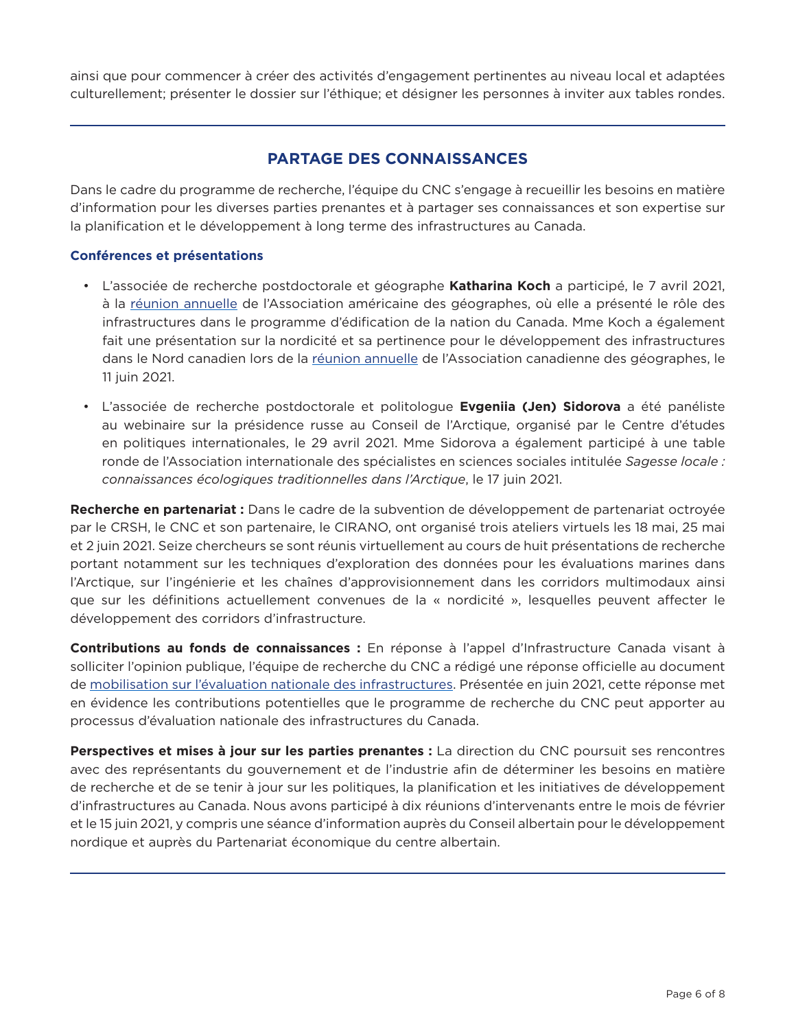ainsi que pour commencer à créer des activités d'engagement pertinentes au niveau local et adaptées culturellement; présenter le dossier sur l'éthique; et désigner les personnes à inviter aux tables rondes.

# **PARTAGE DES CONNAISSANCES**

Dans le cadre du programme de recherche, l'équipe du CNC s'engage à recueillir les besoins en matière d'information pour les diverses parties prenantes et à partager ses connaissances et son expertise sur la planification et le développement à long terme des infrastructures au Canada.

## **Conférences et présentations**

- L'associée de recherche postdoctorale et géographe **Katharina Koch** a participé, le 7 avril 2021, à la [réunion annuelle](https://aag-annualmeeting.secure-platform.com/a/) de l'Association américaine des géographes, où elle a présenté le rôle des infrastructures dans le programme d'édification de la nation du Canada. Mme Koch a également fait une présentation sur la nordicité et sa pertinence pour le développement des infrastructures dans le Nord canadien lors de la [réunion annuelle](https://www.cag-acg.ca/cag2021) de l'Association canadienne des géographes, le 11 juin 2021.
- L'associée de recherche postdoctorale et politologue **Evgeniia (Jen) Sidorova** a été panéliste au webinaire sur la présidence russe au Conseil de l'Arctique, organisé par le Centre d'études en politiques internationales, le 29 avril 2021. Mme Sidorova a également participé à une table ronde de l'Association internationale des spécialistes en sciences sociales intitulée *Sagesse locale : connaissances écologiques traditionnelles dans l'Arctique*, le 17 juin 2021.

**Recherche en partenariat :** Dans le cadre de la subvention de développement de partenariat octroyée par le CRSH, le CNC et son partenaire, le CIRANO, ont organisé trois ateliers virtuels les 18 mai, 25 mai et 2 juin 2021. Seize chercheurs se sont réunis virtuellement au cours de huit présentations de recherche portant notamment sur les techniques d'exploration des données pour les évaluations marines dans l'Arctique, sur l'ingénierie et les chaînes d'approvisionnement dans les corridors multimodaux ainsi que sur les définitions actuellement convenues de la « nordicité », lesquelles peuvent affecter le développement des corridors d'infrastructure.

**Contributions au fonds de connaissances :** En réponse à l'appel d'Infrastructure Canada visant à solliciter l'opinion publique, l'équipe de recherche du CNC a rédigé une réponse officielle au document de [mobilisation sur l'évaluation nationale des infrastructures](https://www.infrastructure.gc.ca/nia-eni/index-eng.html). Présentée en juin 2021, cette réponse met en évidence les contributions potentielles que le programme de recherche du CNC peut apporter au processus d'évaluation nationale des infrastructures du Canada.

**Perspectives et mises à jour sur les parties prenantes :** La direction du CNC poursuit ses rencontres avec des représentants du gouvernement et de l'industrie afin de déterminer les besoins en matière de recherche et de se tenir à jour sur les politiques, la planification et les initiatives de développement d'infrastructures au Canada. Nous avons participé à dix réunions d'intervenants entre le mois de février et le 15 juin 2021, y compris une séance d'information auprès du Conseil albertain pour le développement nordique et auprès du Partenariat économique du centre albertain.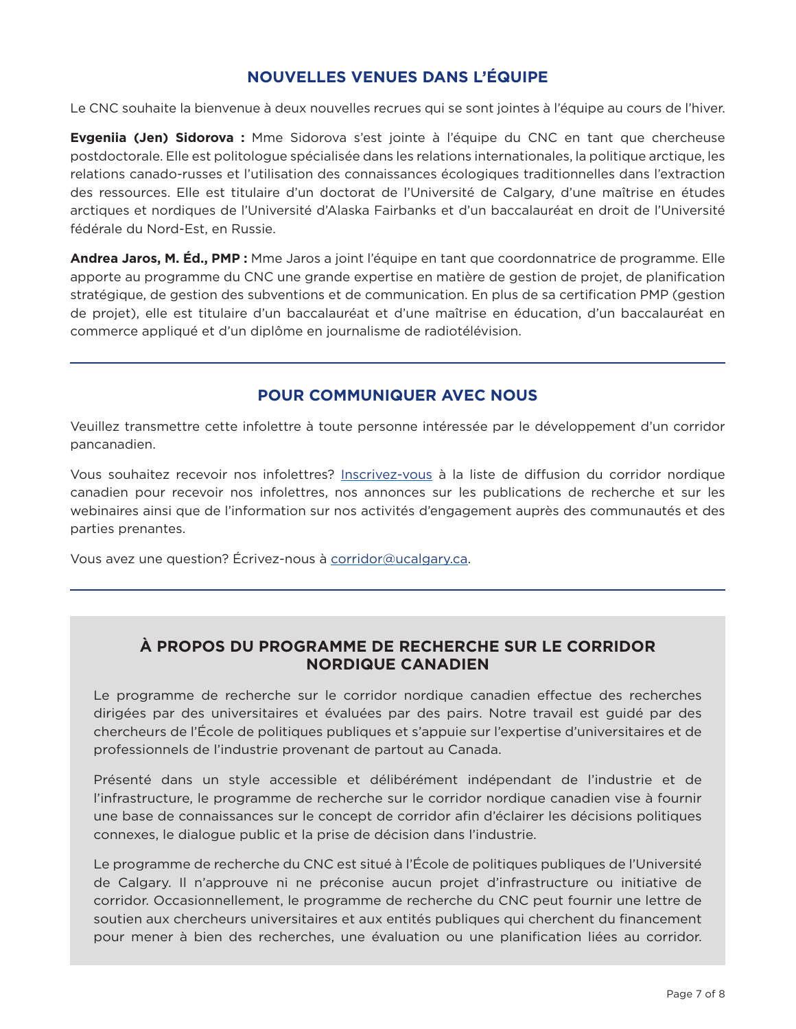# **NOUVELLES VENUES DANS L'ÉQUIPE**

Le CNC souhaite la bienvenue à deux nouvelles recrues qui se sont jointes à l'équipe au cours de l'hiver.

**Evgeniia (Jen) Sidorova :** Mme Sidorova s'est jointe à l'équipe du CNC en tant que chercheuse postdoctorale. Elle est politologue spécialisée dans les relations internationales, la politique arctique, les relations canado-russes et l'utilisation des connaissances écologiques traditionnelles dans l'extraction des ressources. Elle est titulaire d'un doctorat de l'Université de Calgary, d'une maîtrise en études arctiques et nordiques de l'Université d'Alaska Fairbanks et d'un baccalauréat en droit de l'Université fédérale du Nord-Est, en Russie.

**Andrea Jaros, M. Éd., PMP :** Mme Jaros a joint l'équipe en tant que coordonnatrice de programme. Elle apporte au programme du CNC une grande expertise en matière de gestion de projet, de planification stratégique, de gestion des subventions et de communication. En plus de sa certification PMP (gestion de projet), elle est titulaire d'un baccalauréat et d'une maîtrise en éducation, d'un baccalauréat en commerce appliqué et d'un diplôme en journalisme de radiotélévision.

# **POUR COMMUNIQUER AVEC NOUS**

Veuillez transmettre cette infolettre à toute personne intéressée par le développement d'un corridor pancanadien.

Vous souhaitez recevoir nos infolettres? [Inscrivez-vous](https://go.ucalgary.ca/spp-subscribe.html) à la liste de diffusion du corridor nordique canadien pour recevoir nos infolettres, nos annonces sur les publications de recherche et sur les webinaires ainsi que de l'information sur nos activités d'engagement auprès des communautés et des parties prenantes.

Vous avez une question? Écrivez-nous à [corridor@ucalgary.ca.](mailto:corridor%40ucalgary.ca?subject=)

# **À PROPOS DU PROGRAMME DE RECHERCHE SUR LE CORRIDOR NORDIQUE CANADIEN**

Le programme de recherche sur le corridor nordique canadien effectue des recherches dirigées par des universitaires et évaluées par des pairs. Notre travail est guidé par des chercheurs de l'École de politiques publiques et s'appuie sur l'expertise d'universitaires et de professionnels de l'industrie provenant de partout au Canada.

Présenté dans un style accessible et délibérément indépendant de l'industrie et de l'infrastructure, le programme de recherche sur le corridor nordique canadien vise à fournir une base de connaissances sur le concept de corridor afin d'éclairer les décisions politiques connexes, le dialogue public et la prise de décision dans l'industrie.

Le programme de recherche du CNC est situé à l'École de politiques publiques de l'Université de Calgary. Il n'approuve ni ne préconise aucun projet d'infrastructure ou initiative de corridor. Occasionnellement, le programme de recherche du CNC peut fournir une lettre de soutien aux chercheurs universitaires et aux entités publiques qui cherchent du financement pour mener à bien des recherches, une évaluation ou une planification liées au corridor.